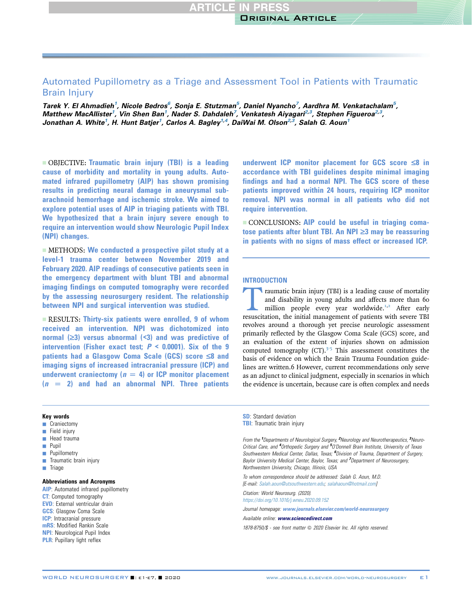# Automated Pupillometry as a Triage and Assessment Tool in Patients with Traumatic Brain Injury

Tarek Y. El Ahmadieh<sup>1</sup>, Nicole Bedros<sup>6</sup>, Sonja E. Stutzman<sup>5</sup>, Daniel Nyancho<sup>7</sup>, Aardhra M. Venkatachalam<sup>5</sup>, Matthew MacAllister<sup>1</sup>, Vin Shen Ban<sup>1</sup>, Nader S. Dahdaleh<sup>7</sup>, Venkatesh Aiyagari<sup>2,3</sup>, Stephen Figueroa<sup>2,3</sup>, Jonathan A. White<sup>1</sup>, H. Hunt Batjer<sup>1</sup>, Carlos A. Bagley<sup>1,4</sup>, DaiWai M. Olson<sup>2,3</sup>, Salah G. Aoun<sup>1</sup>

- OBJECTIVE: Traumatic brain injury (TBI) is a leading cause of morbidity and mortality in young adults. Automated infrared pupillometry (AIP) has shown promising results in predicting neural damage in aneurysmal subarachnoid hemorrhage and ischemic stroke. We aimed to explore potential uses of AIP in triaging patients with TBI. We hypothesized that a brain injury severe enough to require an intervention would show Neurologic Pupil Index (NPI) changes.

 $\blacksquare$  METHODS: We conducted a prospective pilot study at a level-1 trauma center between November 2019 and February 2020. AIP readings of consecutive patients seen in the emergency department with blunt TBI and abnormal imaging findings on computed tomography were recorded by the assessing neurosurgery resident. The relationship between NPI and surgical intervention was studied.

 $RESULTS: Thirtv-six$  patients were enrolled. 9 of whom received an intervention. NPI was dichotomized into normal  $(\geq 3)$  versus abnormal  $(\leq 3)$  and was predictive of intervention (Fisher exact test;  $P < 0.0001$ ). Six of the 9 patients had a Glasgow Coma Scale (GCS) score  $\leq 8$  and imaging signs of increased intracranial pressure (ICP) and underwent craniectomy ( $n = 4$ ) or ICP monitor placement  $(n = 2)$  and had an abnormal NPI. Three patients

### Key words

- **Craniectomy**
- $\blacksquare$  Field injury
- **Head trauma**
- **Pupil**
- **Pupillometry**
- $\blacksquare$  Traumatic brain injury
- $\blacksquare$  Triage

# Abbreviations and Acronyms

AIP: Automated infrared pupillometry **CT:** Computed tomography EVD: External ventricular drain **GCS**: Glasgow Coma Scale **ICP**: Intracranial pressure mRS: Modified Rankin Scale NPI: Neurological Pupil Index **PLR:** Pupillary light reflex

underwent ICP monitor placement for GCS score  $\leq 8$  in accordance with TBI guidelines despite minimal imaging findings and had a normal NPI. The GCS score of these patients improved within 24 hours, requiring ICP monitor removal. NPI was normal in all patients who did not require intervention.

- CONCLUSIONS: AIP could be useful in triaging comatose patients after blunt TBI. An NPI  $\geq$ 3 may be reassuring in patients with no signs of mass effect or increased ICP.

### INTRODUCTION

Traumatic brain injury (TBI) is a leading cause of mortality<br>and disability in young adults and affects more than 60<br>million people every year worldwide.<sup>1,2</sup> After early<br>resuscitation, the initial management of patients w and disability in young adults and affects more than 60 million people every year worldwide.<sup>1,2</sup> After early resuscitation, the initial management of patients with severe TBI revolves around a thorough yet precise neurologic assessment primarily reflected by the Glasgow Coma Scale (GCS) score, and an evaluation of the extent of injuries shown on admission computed tomography  $(CT).3-5$  $(CT).3-5$  This assessment constitutes the basis of evidence on which the Brain Trauma Foundation guidelines are written.6 However, current recommendations only serve as an adjunct to clinical judgment, especially in scenarios in which the evidence is uncertain, because care is often complex and needs

SD: Standard deviation **TBI:** Traumatic brain injury

From the <sup>1</sup>Departments of Neurological Surgery, <sup>2</sup>Neurology and Neurotherapeutics, <sup>3</sup>Neuro-Critical Care, and <sup>4</sup>Orthopedic Surgery and <sup>5</sup>O'Donnell Brain Institute, University of Texas Southwestern Medical Center, Dallas, Texas; <sup>6</sup>Division of Trauma, Department of Surgery, Baylor University Medical Center, Baylor, Texas; and <sup>7</sup>Department of Neurosurgery, Northwestern University, Chicago, Illinois, USA

To whom correspondence should be addressed: Salah G. Aoun, M.D. [E-mail: [Salah.aoun@utsouthwestern.edu](mailto:Salah.aoun@utsouthwestern.edu); [salahaoun@hotmail.com\]](mailto:salahaoun@hotmail.com)

Citation: World Neurosurg. (2020).

<https://doi.org/10.1016/j.wneu.2020.09.152>

Journal homepage: <www.journals.elsevier.com/world-neurosurgery>

Available online: [www.sciencedirect.com](www.sciencedirect.com/science/journal/18788750)

1878-8750/\$ - see front matter @ 2020 Elsevier Inc. All rights reserved.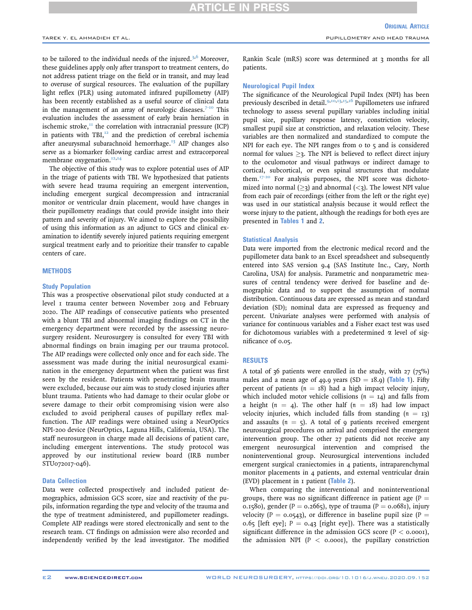# RTICLE IN PRES

to be tailored to the individual needs of the injured.<sup>[3,](#page-5-2)[6](#page-5-3)</sup> Moreover, these guidelines apply only after transport to treatment centers, do not address patient triage on the field or in transit, and may lead to overuse of surgical resources. The evaluation of the pupillary light reflex (PLR) using automated infrared pupillometry (AIP) has been recently established as a useful source of clinical data in the management of an array of neurologic diseases. $7-10$  This evaluation includes the assessment of early brain herniation in ischemic stroke, $I<sup>II</sup>$  the correlation with intracranial pressure (ICP) in patients with TBI, $^{12}$  $^{12}$  $^{12}$  and the prediction of cerebral ischemia after aneurysmal subarachnoid hemorrhage.<sup>[13](#page-5-7)</sup> AIP changes also serve as a biomarker following cardiac arrest and extracorporeal membrane oxygenation.<sup>[12,](#page-5-6)[14](#page-5-8)</sup>

The objective of this study was to explore potential uses of AIP in the triage of patients with TBI. We hypothesized that patients with severe head trauma requiring an emergent intervention, including emergent surgical decompression and intracranial monitor or ventricular drain placement, would have changes in their pupillometry readings that could provide insight into their pattern and severity of injury. We aimed to explore the possibility of using this information as an adjunct to GCS and clinical examination to identify severely injured patients requiring emergent surgical treatment early and to prioritize their transfer to capable centers of care.

# **METHODS**

### Study Population

This was a prospective observational pilot study conducted at a level 1 trauma center between November 2019 and February 2020. The AIP readings of consecutive patients who presented with a blunt TBI and abnormal imaging findings on CT in the emergency department were recorded by the assessing neurosurgery resident. Neurosurgery is consulted for every TBI with abnormal findings on brain imaging per our trauma protocol. The AIP readings were collected only once and for each side. The assessment was made during the initial neurosurgical examination in the emergency department when the patient was first seen by the resident. Patients with penetrating brain trauma were excluded, because our aim was to study closed injuries after blunt trauma. Patients who had damage to their ocular globe or severe damage to their orbit compromising vision were also excluded to avoid peripheral causes of pupillary reflex malfunction. The AIP readings were obtained using a NeurOptics NPI-200 device (NeurOptics, Laguna Hills, California, USA). The staff neurosurgeon in charge made all decisions of patient care, including emergent interventions. The study protocol was approved by our institutional review board (IRB number STU072017-046).

### Data Collection

Data were collected prospectively and included patient demographics, admission GCS score, size and reactivity of the pupils, information regarding the type and velocity of the trauma and the type of treatment administered, and pupillometer readings. Complete AIP readings were stored electronically and sent to the research team. CT findings on admission were also recorded and independently verified by the lead investigator. The modified

Rankin Scale (mRS) score was determined at 3 months for all patients.

### Neurological Pupil Index

The significance of the Neurological Pupil Index (NPI) has been previously described in detail.<sup>[9](#page-5-9)[,10](#page-5-10)[,13,](#page-5-7)[15](#page-5-11)[,16](#page-5-12)</sup> Pupillometers use infrared technology to assess several pupillary variables including initial pupil size, pupillary response latency, constriction velocity, smallest pupil size at constriction, and relaxation velocity. These variables are then normalized and standardized to compute the NPI for each eye. The NPI ranges from  $\sigma$  to  $\varsigma$  and is considered normal for values  $\geq$ . The NPI is believed to reflect direct injury to the oculomotor and visual pathways or indirect damage to cortical, subcortical, or even spinal structures that modulate them.<sup>[17-20](#page-5-13)</sup> For analysis purposes, the NPI score was dichotomized into normal  $(>a)$  and abnormal  $(1)$ . The lowest NPI value from each pair of recordings (either from the left or the right eye) was used in our statistical analysis because it would reflect the worse injury to the patient, although the readings for both eyes are presented in [Tables 1](#page-2-0) and [2](#page-3-0).

#### Statistical Analysis

Data were imported from the electronic medical record and the pupillometer data bank to an Excel spreadsheet and subsequently entered into SAS version 9.4 (SAS Institute Inc., Cary, North Carolina, USA) for analysis. Parametric and nonparametric measures of central tendency were derived for baseline and demographic data and to support the assumption of normal distribution. Continuous data are expressed as mean and standard deviation (SD); nominal data are expressed as frequency and percent. Univariate analyses were performed with analysis of variance for continuous variables and a Fisher exact test was used for dichotomous variables with a predetermined  $\alpha$  level of significance of 0.05.

### RESULTS

A total of  $36$  patients were enrolled in the study, with  $27$  ( $75\%$ ) males and a mean age of 49.9 years (SD =  $18.9$ ) ([Table 1](#page-2-0)). Fifty percent of patients ( $n = 18$ ) had a high impact velocity injury, which included motor vehicle collisions ( $n = 14$ ) and falls from a height ( $n = 4$ ). The other half ( $n = 18$ ) had low impact velocity injuries, which included falls from standing  $(n = 13)$ and assaults ( $n = 5$ ). A total of 9 patients received emergent neurosurgical procedures on arrival and comprised the emergent intervention group. The other 27 patients did not receive any emergent neurosurgical intervention and comprised the noninterventional group. Neurosurgical interventions included emergent surgical craniectomies in 4 patients, intraparenchymal monitor placements in 4 patients, and external ventricular drain  $(EVD)$  placement in  $I$  patient ([Table 2](#page-3-0)).

When comparing the interventional and noninterventional groups, there was no significant difference in patient age  $(P =$ 0.1580), gender (P = 0.2665), type of trauma (P = 0.0681), injury velocity (P =  $0.0543$ ), or difference in baseline pupil size (P = 0.65 [left eye];  $P = 0.43$  [right eye]). There was a statistically significant difference in the admission GCS score ( $P < 0.0001$ ), the admission NPI ( $P <$  0.0001), the pupillary constriction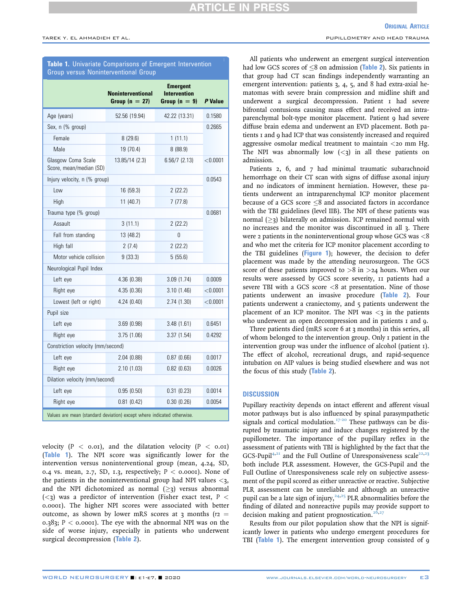# <span id="page-2-0"></span>Table 1. Univariate Comparisons of Emergent Intervention Group versus Noninterventional Group

|                                                                        | <b>Noninterventional</b><br>Group $(n = 27)$ | <b>Emergent</b><br><b>Intervention</b><br>Group $(n = 9)$ | P Value  |  |  |  |  |
|------------------------------------------------------------------------|----------------------------------------------|-----------------------------------------------------------|----------|--|--|--|--|
| Age (years)                                                            | 52.56 (19.94)                                | 42.22 (13.31)                                             | 0.1580   |  |  |  |  |
| Sex, n (% group)                                                       |                                              |                                                           | 0.2665   |  |  |  |  |
| Female                                                                 | 8(29.6)                                      | 1(11.1)                                                   |          |  |  |  |  |
| Male                                                                   | 19 (70.4)                                    | 8(88.9)                                                   |          |  |  |  |  |
| Glasgow Coma Scale<br>Score, mean/median (SD)                          | 13.85/14 (2.3)                               | 6.56/7(2.13)                                              | < 0.0001 |  |  |  |  |
| Injury velocity, n (% group)                                           |                                              |                                                           | 0.0543   |  |  |  |  |
| Low                                                                    | 16 (59.3)                                    | 2(22.2)                                                   |          |  |  |  |  |
| High                                                                   | 11 (40.7)                                    | 7(77.8)                                                   |          |  |  |  |  |
| Trauma type (% group)                                                  |                                              |                                                           | 0.0681   |  |  |  |  |
| Assault                                                                | 3(11.1)                                      | 2(22.2)                                                   |          |  |  |  |  |
| Fall from standing                                                     | 13 (48.2)                                    | 0                                                         |          |  |  |  |  |
| High fall                                                              | 2(7.4)                                       | 2(22.2)                                                   |          |  |  |  |  |
| Motor vehicle collision                                                | 9(33.3)                                      | 5(55.6)                                                   |          |  |  |  |  |
| Neurological Pupil Index                                               |                                              |                                                           |          |  |  |  |  |
| Left eye                                                               | 4.36(0.38)                                   | 3.09(1.74)                                                | 0.0009   |  |  |  |  |
| Right eye                                                              | 4.35(0.36)                                   | 3.10(1.46)                                                | < 0.0001 |  |  |  |  |
| Lowest (left or right)                                                 | 4.24(0.40)                                   | 2.74(1.30)                                                | < 0.0001 |  |  |  |  |
| Pupil size                                                             |                                              |                                                           |          |  |  |  |  |
| Left eye                                                               | 3.69(0.98)                                   | 3.48(1.61)                                                | 0.6451   |  |  |  |  |
| Right eye                                                              | 3.75(1.06)                                   | 3.37(1.54)                                                | 0.4292   |  |  |  |  |
| Constriction velocity (mm/second)                                      |                                              |                                                           |          |  |  |  |  |
| Left eye                                                               | 2.04(0.88)                                   | 0.87(0.66)                                                | 0.0017   |  |  |  |  |
| Right eye                                                              | 2.10(1.03)                                   | 0.82(0.63)                                                | 0.0026   |  |  |  |  |
| Dilation velocity (mm/second)                                          |                                              |                                                           |          |  |  |  |  |
| Left eye                                                               | 0.95(0.50)                                   | 0.31(0.23)                                                | 0.0014   |  |  |  |  |
| Right eye                                                              | 0.81(0.42)                                   | 0.30(0.26)                                                | 0.0054   |  |  |  |  |
| Values are mean (standard deviation) except where indicated otherwise. |                                              |                                                           |          |  |  |  |  |

velocity  $(P < 0.01)$ , and the dilatation velocity  $(P < 0.01)$ ([Table 1](#page-2-0)). The NPI score was significantly lower for the intervention versus noninterventional group (mean, 4.24, SD, 0.4 vs. mean, 2.7, SD, 1.3, respectively;  $P < 0.0001$ ). None of the patients in the noninterventional group had NPI values  $\langle 3, 1 \rangle$ and the NPI dichotomized as normal  $(>z)$  versus abnormal  $(<$ 3) was a predictor of intervention (Fisher exact test, P  $<$ 0.0001). The higher NPI scores were associated with better outcome, as shown by lower mRS scores at 3 months ( $r_2$  = 0.383;  $P < 0.0001$ . The eye with the abnormal NPI was on the side of worse injury, especially in patients who underwent surgical decompression ([Table 2](#page-3-0)).

All patients who underwent an emergent surgical intervention had low GCS scores of  $\leq$ 8 on admission ([Table 2](#page-3-0)). Six patients in that group had CT scan findings independently warranting an emergent intervention: patients 3, 4, 5, and 8 had extra-axial hematomas with severe brain compression and midline shift and underwent a surgical decompression. Patient 1 had severe bifrontal contusions causing mass effect and received an intraparenchymal bolt-type monitor placement. Patient 9 had severe diffuse brain edema and underwent an EVD placement. Both patients 1 and 9 had ICP that was consistently increased and required aggressive osmolar medical treatment to maintain <20 mm Hg. The NPI was abnormally low  $(*z*)$  in all these patients on admission.

Patients 2, 6, and 7 had minimal traumatic subarachnoid hemorrhage on their CT scan with signs of diffuse axonal injury and no indicators of imminent herniation. However, these patients underwent an intraparenchymal ICP monitor placement because of a GCS score  $\leq$ 8 and associated factors in accordance with the TBI guidelines (level IIB). The NPI of these patients was normal  $(\geq)$  bilaterally on admission. ICP remained normal with no increases and the monitor was discontinued in all 3. There were 2 patients in the noninterventional group whose GCS was <8 and who met the criteria for ICP monitor placement according to the TBI guidelines ([Figure 1](#page-4-0)); however, the decision to defer placement was made by the attending neurosurgeon. The GCS score of these patients improved to  $>8$  in  $>24$  hours. When our results were assessed by GCS score severity, 11 patients had a severe TBI with a GCS score  $\langle 8 \rangle$  at presentation. Nine of those patients underwent an invasive procedure ([Table 2](#page-3-0)). Four patients underwent a craniectomy, and 5 patients underwent the placement of an ICP monitor. The NPI was  $\lt$ 3 in the patients who underwent an open decompression and in patients I and 9.

Three patients died (mRS score 6 at 3 months) in this series, all of whom belonged to the intervention group. Only 1 patient in the intervention group was under the influence of alcohol (patient 1). The effect of alcohol, recreational drugs, and rapid-sequence intubation on AIP values is being studied elsewhere and was not the focus of this study ([Table 2](#page-3-0)).

# **DISCUSSION**

Pupillary reactivity depends on intact efferent and afferent visual motor pathways but is also influenced by spinal parasympathetic signals and cortical modulation.<sup>[17-20](#page-5-13)</sup> These pathways can be disrupted by traumatic injury and induce changes registered by the pupillometer. The importance of the pupillary reflex in the assessment of patients with TBI is highlighted by the fact that the GCS-Pupil<sup>[4](#page-5-14)[,21](#page-6-0)</sup> and the Full Outline of Unresponsiveness scale<sup>22[,23](#page-6-2)</sup> both include PLR assessment. However, the GCS-Pupil and the Full Outline of Unresponsiveness scale rely on subjective assessment of the pupil scored as either unreactive or reactive. Subjective PLR assessment can be unreliable and although an unreactive pupil can be a late sign of injury,  $24,25$  $24,25$  PLR abnormalities before the finding of dilated and nonreactive pupils may provide support to decision making and patient prognostication.<sup>[26](#page-6-5)[,27](#page-6-6)</sup>

Results from our pilot population show that the NPI is significantly lower in patients who undergo emergent procedures for TBI ([Table 1](#page-2-0)). The emergent intervention group consisted of 9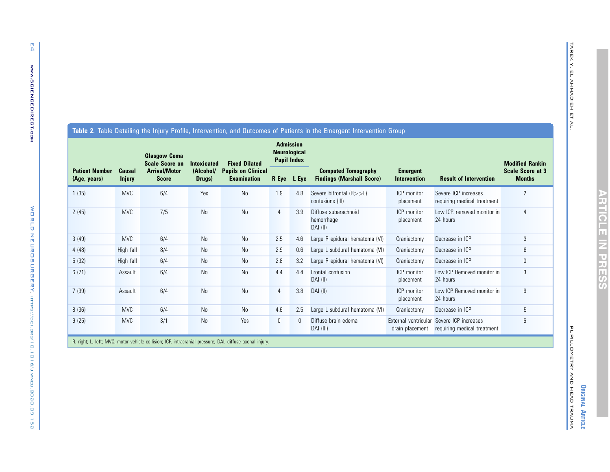| <b>Patient Number</b><br>(Age, years) | Causal<br><b>Injury</b> | <b>Glasgow Coma</b><br><b>Scale Score on</b><br><b>Arrival/Motor</b><br><b>Score</b> | <b>Intoxicated</b><br>(Alcohol/<br>Drugs) | <b>Fixed Dilated</b><br><b>Pupils on Clinical</b><br><b>Examination</b> | <b>Admission</b><br><b>Neurological</b><br><b>Pupil Index</b> |             |                                                                |                                 |                                                     | <b>Modified Rankin</b>                   |
|---------------------------------------|-------------------------|--------------------------------------------------------------------------------------|-------------------------------------------|-------------------------------------------------------------------------|---------------------------------------------------------------|-------------|----------------------------------------------------------------|---------------------------------|-----------------------------------------------------|------------------------------------------|
|                                       |                         |                                                                                      |                                           |                                                                         |                                                               | R Eye L Eye | <b>Computed Tomography</b><br><b>Findings (Marshall Score)</b> | <b>Emergent</b><br>Intervention | <b>Result of Intervention</b>                       | <b>Scale Score at 3</b><br><b>Months</b> |
| 1 (35)                                | <b>MVC</b>              | 6/4                                                                                  | Yes                                       | N <sub>0</sub>                                                          | 1.9                                                           | 4.8         | Severe bifrontal $(R>>L)$<br>contusions (III)                  | <b>ICP</b> monitor<br>placement | Severe ICP increases<br>requiring medical treatment | $\overline{2}$                           |
| 2(45)                                 | <b>MVC</b>              | 7/5                                                                                  | N <sub>0</sub>                            | N <sub>0</sub>                                                          | 4                                                             | 3.9         | Diffuse subarachnoid<br>hemorrhage<br>DAI (II)                 | ICP monitor<br>placement        | Low ICP, removed monitor in<br>24 hours             | 4                                        |
| 3(49)                                 | <b>MVC</b>              | 6/4                                                                                  | <b>No</b>                                 | N <sub>0</sub>                                                          | 2.5                                                           | 4.6         | Large R epidural hematoma (VI)                                 | Craniectomy                     | Decrease in ICP                                     | 3                                        |
| 4(48)                                 | High fall               | 8/4                                                                                  | <b>No</b>                                 | N <sub>0</sub>                                                          | 2.9                                                           | 0.6         | Large L subdural hematoma (VI)                                 | Craniectomy                     | Decrease in ICP                                     | 6                                        |

<span id="page-3-0"></span>**Table 2.** Table Detailing the Injury Profile, Intervention, and Outcomes of Patients in the Emergent Intervention Group

| 2(45)                                                                                                    | <b>MVC</b> | 7/5 | No | N <sub>0</sub> | 4            | 3.9      | Diffuse subarachnoid<br>hemorrhage<br>DAI (II) | ICP monitor<br>placement | Low ICP, removed monitor in<br>24 hours                                  | 4 |
|----------------------------------------------------------------------------------------------------------|------------|-----|----|----------------|--------------|----------|------------------------------------------------|--------------------------|--------------------------------------------------------------------------|---|
| 3(49)                                                                                                    | <b>MVC</b> | 6/4 | No | No             | 2.5          | 4.6      | Large R epidural hematoma (VI)                 | Craniectomy              | Decrease in ICP                                                          | 3 |
| 4(48)                                                                                                    | High fall  | 8/4 | No | <b>No</b>      | 2.9          | 0.6      | Large L subdural hematoma (VI)                 | Craniectomy              | Decrease in ICP                                                          | 6 |
| 5(32)                                                                                                    | High fall  | 6/4 | No | <b>No</b>      | 2.8          | 3.2      | Large R epidural hematoma (VI)                 | Craniectomy              | Decrease in ICP                                                          | 0 |
| 6(71)                                                                                                    | Assault    | 6/4 | No | <b>No</b>      | 4.4          | 4.4      | Frontal contusion<br>DAI (II)                  | ICP monitor<br>placement | Low ICP. Removed monitor in<br>24 hours                                  | 3 |
| 7(39)                                                                                                    | Assault    | 6/4 | No | N <sub>0</sub> | 4            | 3.8      | DAI (II)                                       | ICP monitor<br>placement | Low ICP. Removed monitor in<br>24 hours                                  | 6 |
| 8(36)                                                                                                    | <b>MVC</b> | 6/4 | No | <b>No</b>      | 4.6          | 2.5      | Large L subdural hematoma (VI)                 | Craniectomy              | Decrease in ICP                                                          | 5 |
| 9(25)                                                                                                    | <b>MVC</b> | 3/1 | No | Yes            | $\mathbf{0}$ | $\Omega$ | Diffuse brain edema<br>DAI (III)               | drain placement          | External ventricular Severe ICP increases<br>requiring medical treatment | 6 |
| R, right; L, left; MVC, motor vehicle collision; ICP, intracranial pressure; DAI, diffuse axonal injury. |            |     |    |                |              |          |                                                |                          |                                                                          |   |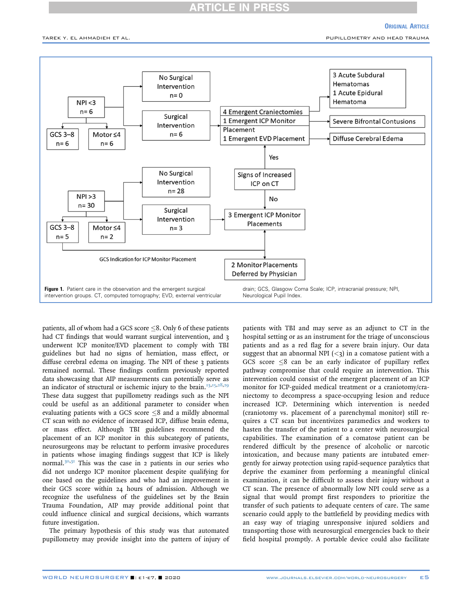# **RTICLE IN PRES**

# **ORIGINAL ARTICLE**

<span id="page-4-0"></span>TAREK Y. EL AHMADIEH ET AL. PUPILLOMETRY AND HEAD TRAUMA



patients, all of whom had a GCS score  $\leq$ 8. Only 6 of these patients had CT findings that would warrant surgical intervention, and 3 underwent ICP monitor/EVD placement to comply with TBI guidelines but had no signs of herniation, mass effect, or diffuse cerebral edema on imaging. The NPI of these 3 patients remained normal. These findings confirm previously reported data showcasing that AIP measurements can potentially serve as an indicator of structural or ischemic injury to the brain.<sup>[13,](#page-5-7)[15](#page-5-11)[,28,](#page-6-7)[29](#page-6-8)</sup> These data suggest that pupillometry readings such as the NPI could be useful as an additional parameter to consider when evaluating patients with a GCS score  $\leq 8$  and a mildly abnormal CT scan with no evidence of increased ICP, diffuse brain edema, or mass effect. Although TBI guidelines recommend the placement of an ICP monitor in this subcategory of patients, neurosurgeons may be reluctant to perform invasive procedures in patients whose imaging findings suggest that ICP is likely normal.<sup>[30,](#page-6-9)[31](#page-6-10)</sup> This was the case in 2 patients in our series who did not undergo ICP monitor placement despite qualifying for one based on the guidelines and who had an improvement in their GCS score within 24 hours of admission. Although we recognize the usefulness of the guidelines set by the Brain Trauma Foundation, AIP may provide additional point that could influence clinical and surgical decisions, which warrants future investigation.

The primary hypothesis of this study was that automated pupillometry may provide insight into the pattern of injury of patients with TBI and may serve as an adjunct to CT in the hospital setting or as an instrument for the triage of unconscious patients and as a red flag for a severe brain injury. Our data suggest that an abnormal NPI  $\left\langle \langle 3 \rangle \right\rangle$  in a comatose patient with a GCS score  $\leq 8$  can be an early indicator of pupillary reflex pathway compromise that could require an intervention. This intervention could consist of the emergent placement of an ICP monitor for ICP-guided medical treatment or a craniotomy/craniectomy to decompress a space-occupying lesion and reduce increased ICP. Determining which intervention is needed (craniotomy vs. placement of a parenchymal monitor) still requires a CT scan but incentivizes paramedics and workers to hasten the transfer of the patient to a center with neurosurgical capabilities. The examination of a comatose patient can be rendered difficult by the presence of alcoholic or narcotic intoxication, and because many patients are intubated emergently for airway protection using rapid-sequence paralytics that deprive the examiner from performing a meaningful clinical examination, it can be difficult to assess their injury without a CT scan. The presence of abnormally low NPI could serve as a signal that would prompt first responders to prioritize the transfer of such patients to adequate centers of care. The same scenario could apply to the battlefield by providing medics with an easy way of triaging unresponsive injured soldiers and transporting those with neurosurgical emergencies back to their field hospital promptly. A portable device could also facilitate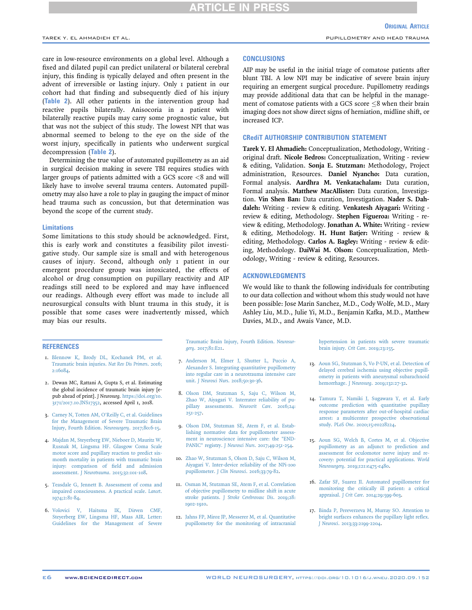# **ARTICLE IN PRESS**

care in low-resource environments on a global level. Although a fixed and dilated pupil can predict unilateral or bilateral cerebral injury, this finding is typically delayed and often present in the advent of irreversible or lasting injury. Only 1 patient in our cohort had that finding and subsequently died of his injury ([Table 2](#page-3-0)). All other patients in the intervention group had reactive pupils bilaterally. Anisocoria in a patient with bilaterally reactive pupils may carry some prognostic value, but that was not the subject of this study. The lowest NPI that was abnormal seemed to belong to the eye on the side of the worst injury, specifically in patients who underwent surgical decompression ([Table 2](#page-3-0)).

Determining the true value of automated pupillometry as an aid in surgical decision making in severe TBI requires studies with larger groups of patients admitted with a GCS score <8 and will likely have to involve several trauma centers. Automated pupillometry may also have a role to play in gauging the impact of minor head trauma such as concussion, but that determination was beyond the scope of the current study.

### Limitations

Some limitations to this study should be acknowledged. First, this is early work and constitutes a feasibility pilot investigative study. Our sample size is small and with heterogenous causes of injury. Second, although only 1 patient in our emergent procedure group was intoxicated, the effects of alcohol or drug consumption on pupillary reactivity and AIP readings still need to be explored and may have influenced our readings. Although every effort was made to include all neurosurgical consults with blunt trauma in this study, it is possible that some cases were inadvertently missed, which may bias our results.

### **CONCLUSIONS**

AIP may be useful in the initial triage of comatose patients after blunt TBI. A low NPI may be indicative of severe brain injury requiring an emergent surgical procedure. Pupillometry readings may provide additional data that can be helpful in the management of comatose patients with a GCS score  $\leq 8$  when their brain imaging does not show direct signs of herniation, midline shift, or increased ICP.

# CRediT AUTHORSHIP CONTRIBUTION STATEMENT

Tarek Y. El Ahmadieh: Conceptualization, Methodology, Writing original draft. Nicole Bedros: Conceptualization, Writing - review & editing, Validation. Sonja E. Stutzman: Methodology, Project administration, Resources. Daniel Nyancho: Data curation, Formal analysis. Aardhra M. Venkatachalam: Data curation, Formal analysis. Matthew MacAllister: Data curation, Investigation. Vin Shen Ban: Data curation, Investigation. Nader S. Dahdaleh: Writing - review & editing. Venkatesh Aiyagari: Writing review & editing, Methodology. Stephen Figueroa: Writing - review & editing, Methodology. Jonathan A. White: Writing - review & editing, Methodology. H. Hunt Batjer: Writing - review & editing, Methodology. Carlos A. Bagley: Writing - review & editing, Methodology. DaiWai M. Olson: Conceptualization, Methodology, Writing - review & editing, Resources.

### ACKNOWLEDGMENTS

We would like to thank the following individuals for contributing to our data collection and without whom this study would not have been possible: Jose Marin Sanchez, M.D., Cody Wolfe, M.D., Mary Ashley Liu, M.D., Julie Yi, M.D., Benjamin Kafka, M.D., Matthew Davies, M.D., and Awais Vance, M.D.

### **REFERENCES**

- <span id="page-5-0"></span>1. [Blennow K, Brody DL, Kochanek PM, et al.](http://refhub.elsevier.com/S1878-8750(20)32171-9/sref1) [Traumatic brain injuries.](http://refhub.elsevier.com/S1878-8750(20)32171-9/sref1) Nat Rev Dis Primers. 2016; [2:16084](http://refhub.elsevier.com/S1878-8750(20)32171-9/sref1).
- <span id="page-5-1"></span>2. Dewan MC, Rattani A, Gupta S, et al. Estimating the global incidence of traumatic brain injury [epub ahead of print]. J Neurosurg. [https://doi.org/10.](https://doi.org/10.3171/2017.10.JNS17352) [3171/2017.10.JNS17352](https://doi.org/10.3171/2017.10.JNS17352), accessed April 1, 2018.
- <span id="page-5-2"></span>3. Carney N, Totten AM, O'[Reilly C, et al. Guidelines](http://refhub.elsevier.com/S1878-8750(20)32171-9/sref3) [for the Management of Severe Traumatic Brain](http://refhub.elsevier.com/S1878-8750(20)32171-9/sref3) [Injury, Fourth Edition.](http://refhub.elsevier.com/S1878-8750(20)32171-9/sref3) Neurosurgery. 2017;80:6-15.
- <span id="page-5-14"></span>4. [Majdan M, Steyerberg EW, Nieboer D, Mauritz W,](http://refhub.elsevier.com/S1878-8750(20)32171-9/sref4) [Rusnak M, Lingsma HF. Glasgow Coma Scale](http://refhub.elsevier.com/S1878-8750(20)32171-9/sref4) [motor score and pupillary reaction to predict six](http://refhub.elsevier.com/S1878-8750(20)32171-9/sref4)[month mortality in patients with traumatic brain](http://refhub.elsevier.com/S1878-8750(20)32171-9/sref4) [injury: comparison of](http://refhub.elsevier.com/S1878-8750(20)32171-9/sref4) field and admission assessment. J Neurotrauma[. 2015;32:101-108](http://refhub.elsevier.com/S1878-8750(20)32171-9/sref4).
- 5. [Teasdale G, Jennett B. Assessment of coma and](http://refhub.elsevier.com/S1878-8750(20)32171-9/sref5) [impaired consciousness. A practical scale.](http://refhub.elsevier.com/S1878-8750(20)32171-9/sref5) Lancet. [1974;2:81-84.](http://refhub.elsevier.com/S1878-8750(20)32171-9/sref5)
- <span id="page-5-3"></span>6. [Volovici V, Haitsma IK, Dirven CMF,](http://refhub.elsevier.com/S1878-8750(20)32171-9/sref6) [Steyerberg EW, Lingsma HF, Maas AIR. Letter:](http://refhub.elsevier.com/S1878-8750(20)32171-9/sref6) [Guidelines for the Management of Severe](http://refhub.elsevier.com/S1878-8750(20)32171-9/sref6)

[Traumatic Brain Injury, Fourth Edition.](http://refhub.elsevier.com/S1878-8750(20)32171-9/sref6) Neurosurgery[. 2017;81:E21.](http://refhub.elsevier.com/S1878-8750(20)32171-9/sref6)

- <span id="page-5-4"></span>7. [Anderson M, Elmer J, Shutter L, Puccio A,](http://refhub.elsevier.com/S1878-8750(20)32171-9/sref7) [Alexander S. Integrating quantitative pupillometry](http://refhub.elsevier.com/S1878-8750(20)32171-9/sref7) [into regular care in a neurotrauma intensive care](http://refhub.elsevier.com/S1878-8750(20)32171-9/sref7) unit. J Neurosci Nurs[. 2018;50:30-36.](http://refhub.elsevier.com/S1878-8750(20)32171-9/sref7)
- 8. [Olson DM, Stutzman S, Saju C, Wilson M,](http://refhub.elsevier.com/S1878-8750(20)32171-9/sref8) [Zhao W, Aiyagari V. Interrater reliability of pu](http://refhub.elsevier.com/S1878-8750(20)32171-9/sref8)[pillary assessments.](http://refhub.elsevier.com/S1878-8750(20)32171-9/sref8) Neurocrit Care. 2016;24: [251-257.](http://refhub.elsevier.com/S1878-8750(20)32171-9/sref8)
- <span id="page-5-9"></span>9. [Olson DM, Stutzman SE, Atem F, et al. Estab](http://refhub.elsevier.com/S1878-8750(20)32171-9/sref9)[lishing normative data for pupillometer assess](http://refhub.elsevier.com/S1878-8750(20)32171-9/sref9)[ment in neuroscience intensive care: the "END-](http://refhub.elsevier.com/S1878-8750(20)32171-9/sref9)PANIC" registry. J Neurosci Nurs[. 2017;49:251-254.](http://refhub.elsevier.com/S1878-8750(20)32171-9/sref9)
- <span id="page-5-10"></span>10. [Zhao W, Stutzman S, Olson D, Saju C, Wilson M,](http://refhub.elsevier.com/S1878-8750(20)32171-9/sref10) [Aiyagari V. Inter-device reliability of the NPi-100](http://refhub.elsevier.com/S1878-8750(20)32171-9/sref10) pupillometer. J Clin Neurosci[. 2016;33:79-82.](http://refhub.elsevier.com/S1878-8750(20)32171-9/sref10)
- <span id="page-5-5"></span>11. [Osman M, Stutzman SE, Atem F, et al. Correlation](http://refhub.elsevier.com/S1878-8750(20)32171-9/sref11) [of objective pupillometry to midline shift in acute](http://refhub.elsevier.com/S1878-8750(20)32171-9/sref11) stroke patients. [J Stroke Cerebrovasc Dis](http://refhub.elsevier.com/S1878-8750(20)32171-9/sref11). 2019;28: [1902-1910.](http://refhub.elsevier.com/S1878-8750(20)32171-9/sref11)
- <span id="page-5-6"></span>12. [Jahns FP, Miroz JP, Messerer M, et al. Quantitative](http://refhub.elsevier.com/S1878-8750(20)32171-9/sref12) [pupillometry for the monitoring of intracranial](http://refhub.elsevier.com/S1878-8750(20)32171-9/sref12)

[hypertension in patients with severe traumatic](http://refhub.elsevier.com/S1878-8750(20)32171-9/sref12) brain injury. Crit Care[. 2019;23:155](http://refhub.elsevier.com/S1878-8750(20)32171-9/sref12).

- <span id="page-5-7"></span>13. [Aoun SG, Stutzman S, Vo P-UN, et al. Detection of](http://refhub.elsevier.com/S1878-8750(20)32171-9/sref13) [delayed cerebral ischemia using objective pupill](http://refhub.elsevier.com/S1878-8750(20)32171-9/sref13)[ometry in patients with aneurysmal subarachnoid](http://refhub.elsevier.com/S1878-8750(20)32171-9/sref13) hemorrhage. J Neurosurg[. 2019;132:27-32.](http://refhub.elsevier.com/S1878-8750(20)32171-9/sref13)
- <span id="page-5-8"></span>14. [Tamura T, Namiki J, Sugawara Y, et al. Early](http://refhub.elsevier.com/S1878-8750(20)32171-9/sref14) [outcome prediction with quantitative pupillary](http://refhub.elsevier.com/S1878-8750(20)32171-9/sref14) [response parameters after out-of-hospital cardiac](http://refhub.elsevier.com/S1878-8750(20)32171-9/sref14) [arrest: a multicenter prospective observational](http://refhub.elsevier.com/S1878-8750(20)32171-9/sref14) study. PLoS One[. 2020;15:e0228224.](http://refhub.elsevier.com/S1878-8750(20)32171-9/sref14)
- <span id="page-5-11"></span>15. [Aoun SG, Welch B, Cortes M, et al. Objective](http://refhub.elsevier.com/S1878-8750(20)32171-9/sref15) [pupillometry as an adjunct to prediction and](http://refhub.elsevier.com/S1878-8750(20)32171-9/sref15) [assessment for oculomotor nerve injury and re](http://refhub.elsevier.com/S1878-8750(20)32171-9/sref15)[covery: potential for practical applications.](http://refhub.elsevier.com/S1878-8750(20)32171-9/sref15) World Neurosurgery[. 2019;121:e475-e480.](http://refhub.elsevier.com/S1878-8750(20)32171-9/sref15)
- <span id="page-5-13"></span><span id="page-5-12"></span>16. [Zafar SF, Suarez JI. Automated pupillometer for](http://refhub.elsevier.com/S1878-8750(20)32171-9/sref16) [monitoring the critically ill patient: a critical](http://refhub.elsevier.com/S1878-8750(20)32171-9/sref16) appraisal. J Crit Care[. 2014;29:599-603](http://refhub.elsevier.com/S1878-8750(20)32171-9/sref16).
- 17. [Binda P, Pereverzeva M, Murray SO. Attention to](http://refhub.elsevier.com/S1878-8750(20)32171-9/sref17) [bright surfaces enhances the pupillary light re](http://refhub.elsevier.com/S1878-8750(20)32171-9/sref17)flex. J Neurosci[. 2013;33:2199-2204.](http://refhub.elsevier.com/S1878-8750(20)32171-9/sref17)